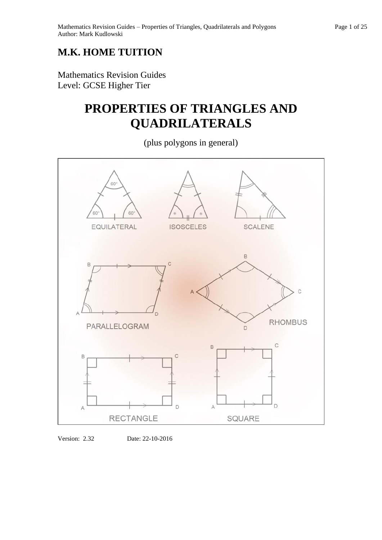### **M.K. HOME TUITION**

Mathematics Revision Guides Level: GCSE Higher Tier

## **PROPERTIES OF TRIANGLES AND QUADRILATERALS**

(plus polygons in general)





Version: 2.32 Date: 22-10-2016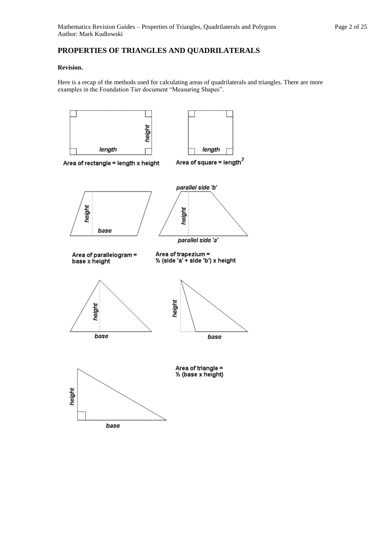#### **PROPERTIES OF TRIANGLES AND QUADRILATERALS**

#### **Revision.**

Here is a recap of the methods used for calculating areas of quadrilaterals and triangles. There are more examples in the Foundation Tier document "Measuring Shapes".

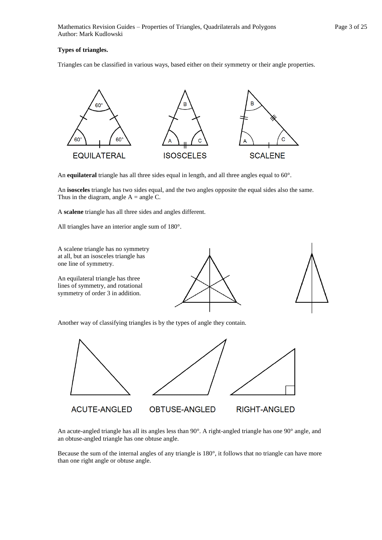#### **Types of triangles.**

Triangles can be classified in various ways, based either on their symmetry or their angle properties.



An **equilateral** triangle has all three sides equal in length, and all three angles equal to 60°.

An **isosceles** triangle has two sides equal, and the two angles opposite the equal sides also the same. Thus in the diagram, angle  $A = angle C$ .

A **scalene** triangle has all three sides and angles different.

All triangles have an interior angle sum of 180°.



Another way of classifying triangles is by the types of angle they contain.



An acute-angled triangle has all its angles less than 90°. A right-angled triangle has one 90° angle, and an obtuse-angled triangle has one obtuse angle.

Because the sum of the internal angles of any triangle is 180°, it follows that no triangle can have more than one right angle or obtuse angle.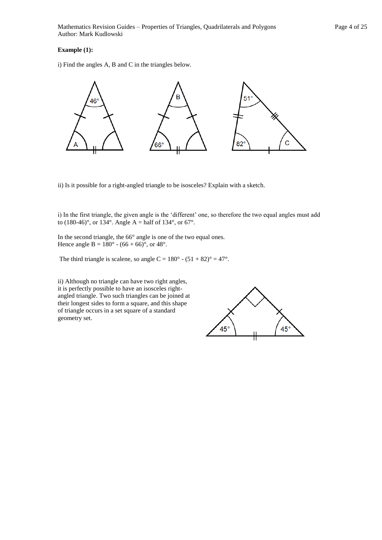#### **Example (1):**

i) Find the angles A, B and C in the triangles below.



ii) Is it possible for a right-angled triangle to be isosceles? Explain with a sketch.

i) In the first triangle, the given angle is the 'different' one, so therefore the two equal angles must add to (180-46)°, or 134°. Angle A = half of 134°, or 67°.

In the second triangle, the 66° angle is one of the two equal ones. Hence angle B =  $180^{\circ}$  -  $(66 + 66)^{\circ}$ , or  $48^{\circ}$ .

The third triangle is scalene, so angle C =  $180^\circ$  -  $(51 + 82)^\circ = 47^\circ$ .

ii) Although no triangle can have two right angles, it is perfectly possible to have an isosceles rightangled triangle. Two such triangles can be joined at their longest sides to form a square, and this shape of triangle occurs in a set square of a standard geometry set.

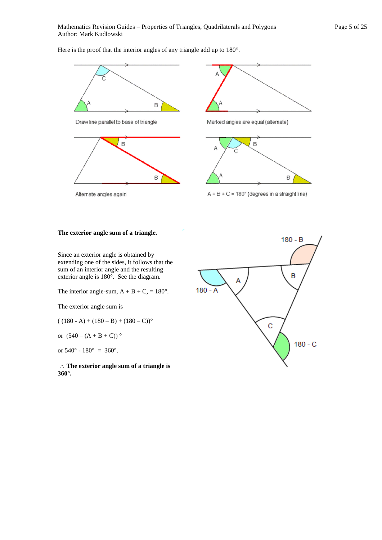Here is the proof that the interior angles of any triangle add up to 180°.



Draw line parallel to base of triangle





Marked angles are equal (alternate)



 $A + B + C = 180^\circ$  (degrees in a straight line)

#### **The exterior angle sum of a triangle.**

Alternate angles again

Since an exterior angle is obtained by extending one of the sides, it follows that the sum of an interior angle and the resulting exterior angle is 180°. See the diagram.

The interior angle-sum,  $A + B + C$ , = 180°.

The exterior angle sum is

$$
((180 - A) + (180 - B) + (180 - C))
$$

or  $(540 - (A + B + C))^{\circ}$ 

or  $540^{\circ}$  -  $180^{\circ}$  =  $360^{\circ}$ .

 **The exterior angle sum of a triangle is 360°.** 

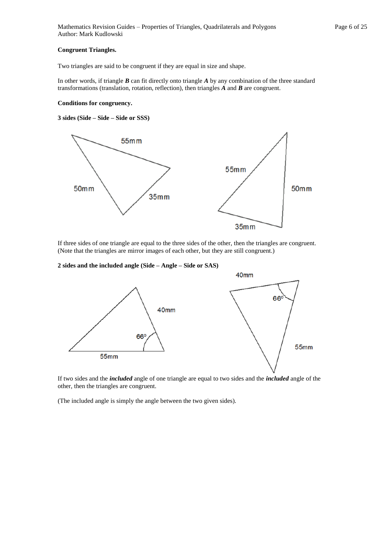#### **Congruent Triangles.**

Two triangles are said to be congruent if they are equal in size and shape.

In other words, if triangle *B* can fit directly onto triangle *A* by any combination of the three standard transformations (translation, rotation, reflection), then triangles *A* and *B* are congruent.

#### **Conditions for congruency.**

#### **3 sides (Side – Side – Side or SSS)**



If three sides of one triangle are equal to the three sides of the other, then the triangles are congruent. (Note that the triangles are mirror images of each other, but they are still congruent.)

**2 sides and the included angle (Side – Angle – Side or SAS)**



If two sides and the *included* angle of one triangle are equal to two sides and the *included* angle of the other, then the triangles are congruent.

(The included angle is simply the angle between the two given sides).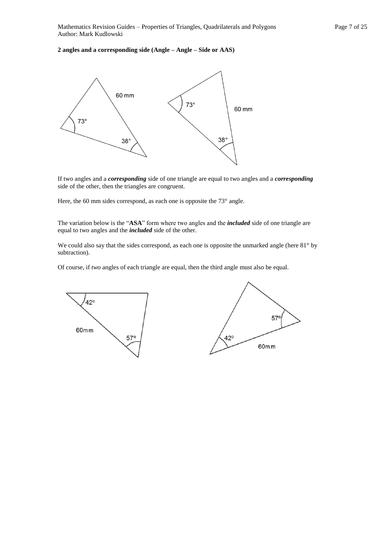#### **2 angles and a corresponding side (Angle – Angle – Side or AAS)**



If two angles and a *corresponding* side of one triangle are equal to two angles and a *corresponding*  side of the other, then the triangles are congruent.

Here, the 60 mm sides correspond, as each one is opposite the  $73^{\circ}$  angle.

The variation below is the "**ASA**" form where two angles and the *included* side of one triangle are equal to two angles and the *included* side of the other.

We could also say that the sides correspond, as each one is opposite the unmarked angle (here 81° by subtraction).

Of course, if *two* angles of each triangle are equal, then the third angle must also be equal.



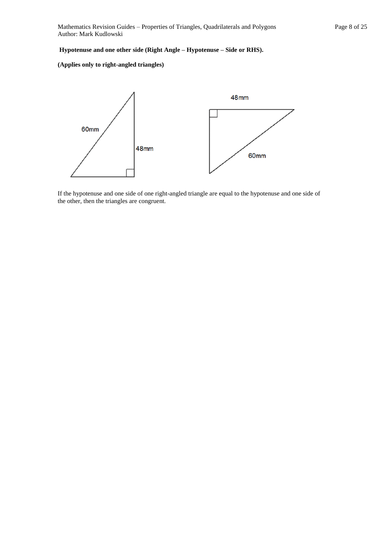#### **Hypotenuse and one other side (Right Angle – Hypotenuse – Side or RHS).**

#### **(Applies only to right-angled triangles)**



If the hypotenuse and one side of one right-angled triangle are equal to the hypotenuse and one side of the other, then the triangles are congruent.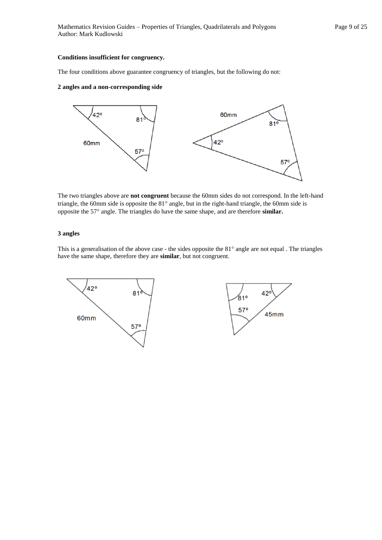#### **Conditions insufficient for congruency.**

The four conditions above guarantee congruency of triangles, but the following do not:

#### **2 angles and a non-corresponding side**



The two triangles above are **not congruent** because the 60mm sides do not correspond. In the left-hand triangle, the 60mm side is opposite the 81° angle, but in the right-hand triangle, the 60mm side is opposite the 57° angle. The triangles do have the same shape, and are therefore **similar.** 

#### **3 angles**

This is a generalisation of the above case - the sides opposite the  $81^\circ$  angle are not equal . The triangles have the same shape, therefore they are **similar**, but not congruent.

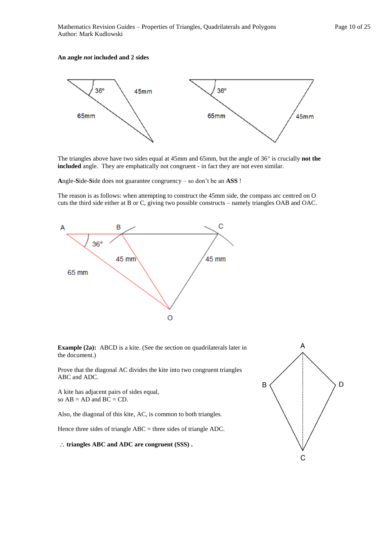#### **An angle** *not* **included and 2 sides**



The triangles above have two sides equal at 45mm and 65mm, but the angle of 36° is crucially **not the included** angle. They are emphatically not congruent - in fact they are not even similar.

**A**ngle-**S**ide-**S**ide does not guarantee congruency – so don't be an **ASS** !

The reason is as follows: when attempting to construct the 45mm side, the compass arc centred on O cuts the third side either at B or C, giving two possible constructs – namely triangles OAB and OAC.



**Example (2a):** ABCD is a kite. (See the section on quadrilaterals later in the document.)

Prove that the diagonal AC divides the kite into two congruent triangles ABC and ADC.

A kite has adjacent pairs of sides equal, so  $AB = AD$  and  $BC = CD$ .

Also, the diagonal of this kite, AC, is common to both triangles.

Hence three sides of triangle ABC = three sides of triangle ADC.

**triangles ABC and ADC are congruent (SSS) .**

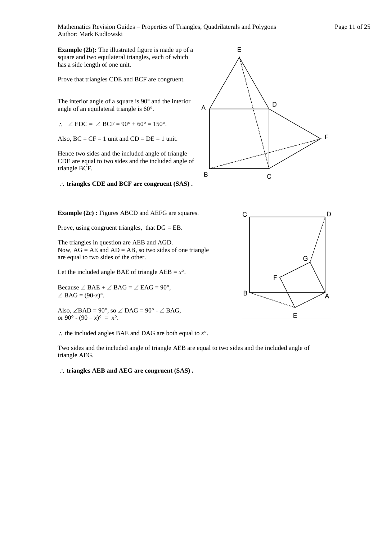Mathematics Revision Guides – Properties of Triangles, Quadrilaterals and Polygons Page 11 of 25 Author: Mark Kudlowski

**Example (2b):** The illustrated figure is made up of a square and two equilateral triangles, each of which has a side length of one unit.

Prove that triangles CDE and BCF are congruent.

The interior angle of a square is 90° and the interior angle of an equilateral triangle is 60°.

 $\therefore$   $\angle$  EDC =  $\angle$  BCF = 90° + 60° = 150°.

Also,  $BC = CF = 1$  unit and  $CD = DE = 1$  unit.

Hence two sides and the included angle of triangle CDE are equal to two sides and the included angle of triangle BCF.

**triangles CDE and BCF are congruent (SAS) .**



**Example (2c) : Figures ABCD and AEFG are squares.** 

Prove, using congruent triangles, that DG = EB.

The triangles in question are AEB and AGD. Now,  $AG = AE$  and  $AD = AB$ , so two sides of one triangle are equal to two sides of the other.

Let the included angle BAE of triangle  $AEB = x^\circ$ .

Because  $\angle$  BAE +  $\angle$  BAG =  $\angle$  EAG = 90°,  $\angle$ BAG = (90-*x*)°.

Also,  $\angle$ BAD = 90°, so  $\angle$  DAG = 90° -  $\angle$  BAG, or 90° -  $(90 - x)$ ° =  $x$ °.

 $\therefore$  the included angles BAE and DAG are both equal to  $x^{\circ}$ .

Two sides and the included angle of triangle AEB are equal to two sides and the included angle of triangle AEG.

**triangles AEB and AEG are congruent (SAS) .**

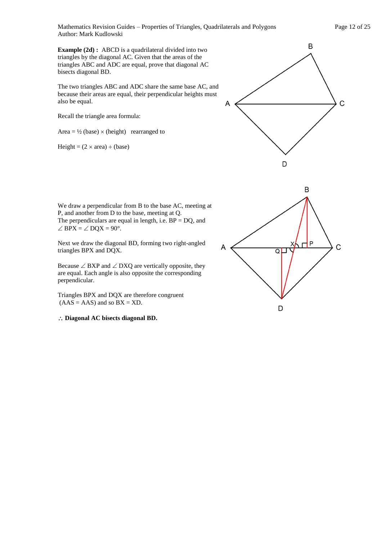Mathematics Revision Guides – Properties of Triangles, Quadrilaterals and Polygons Page 12 of 25 Author: Mark Kudlowski

**Example (2d) :** ABCD is a quadrilateral divided into two triangles by the diagonal AC. Given that the areas of the triangles ABC and ADC are equal, prove that diagonal AC bisects diagonal BD.

The two triangles ABC and ADC share the same base AC, and because their areas are equal, their perpendicular heights must also be equal.

Recall the triangle area formula:

Area =  $\frac{1}{2}$  (base)  $\times$  (height) rearranged to

Height =  $(2 \times \text{area}) \div (\text{base})$ 



We draw a perpendicular from B to the base AC, meeting at P, and another from D to the base, meeting at Q. The perpendiculars are equal in length, i.e.  $BP = DQ$ , and  $\angle$  BPX =  $\angle$  DQX = 90°.

Next we draw the diagonal BD, forming two right-angled triangles BPX and DQX.

Because  $\angle$  BXP and  $\angle$  DXQ are vertically opposite, they are equal. Each angle is also opposite the corresponding perpendicular.

Triangles BPX and DQX are therefore congruent  $(AAS = AAS)$  and so  $BX = XD$ .

**Diagonal AC bisects diagonal BD.** 

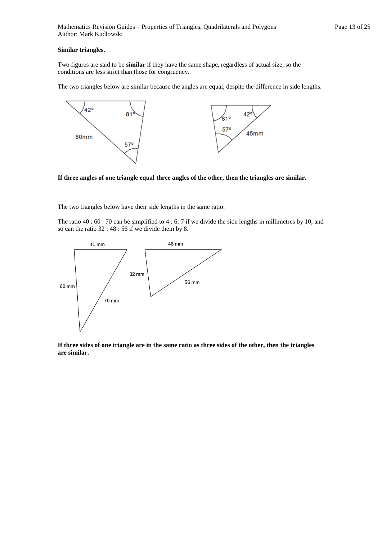#### **Similar triangles.**

Two figures are said to be **similar** if they have the same shape, regardless of actual size, so the conditions are less strict than those for congruency.

The two triangles below are similar because the angles are equal, despite the difference in side lengths.



**If three angles of one triangle equal three angles of the other, then the triangles are similar.** 

The two triangles below have their side lengths in the same ratio.

The ratio 40 : 60 : 70 can be simplified to 4 : 6: 7 if we divide the side lengths in millimetres by 10, and so can the ratio 32 : 48 : 56 if we divide them by 8.



**If three sides of one triangle are in the same ratio as three sides of the other, then the triangles are similar.**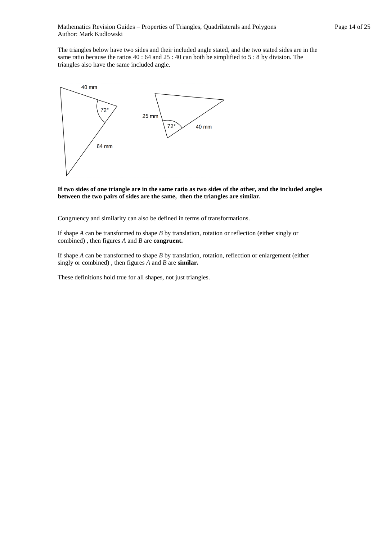The triangles below have two sides and their included angle stated, and the two stated sides are in the same ratio because the ratios 40 : 64 and 25 : 40 can both be simplified to 5 : 8 by division. The triangles also have the same included angle.



**If two sides of one triangle are in the same ratio as two sides of the other, and the included angles between the two pairs of sides are the same, then the triangles are similar.** 

Congruency and similarity can also be defined in terms of transformations.

If shape *A* can be transformed to shape *B* by translation, rotation or reflection (either singly or combined) , then figures *A* and *B* are **congruent.**

If shape *A* can be transformed to shape *B* by translation, rotation, reflection or enlargement (either singly or combined) , then figures *A* and *B* are **similar.**

These definitions hold true for all shapes, not just triangles.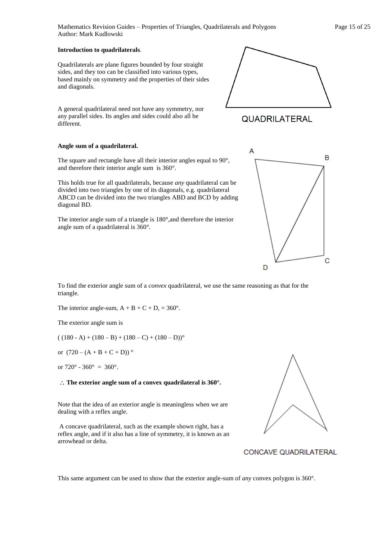Mathematics Revision Guides – Properties of Triangles, Quadrilaterals and Polygons Page 15 of 25 Author: Mark Kudlowski

#### **Introduction to quadrilaterals**.

Quadrilaterals are plane figures bounded by four straight sides, and they too can be classified into various types, based mainly on symmetry and the properties of their sides and diagonals.

A general quadrilateral need not have any symmetry, nor any parallel sides. Its angles and sides could also all be different.

#### **Angle sum of a quadrilateral.**

The square and rectangle have all their interior angles equal to 90°, and therefore their interior angle sum is 360°.

This holds true for all quadrilaterals, because *any* quadrilateral can be divided into two triangles by one of its diagonals, e.g. quadrilateral ABCD can be divided into the two triangles ABD and BCD by adding diagonal BD.

The interior angle sum of a triangle is 180°,and therefore the interior angle sum of a quadrilateral is 360°.

To find the exterior angle sum of a *convex* quadrilateral, we use the same reasoning as that for the triangle.

The interior angle-sum,  $A + B + C + D$ , = 360°.

The exterior angle sum is

 $((180 - A) + (180 - B) + (180 - C) + (180 - D))$ <sup>o</sup>

or  $(720 - (A + B + C + D))^{\circ}$ 

or  $720^{\circ} - 360^{\circ} = 360^{\circ}$ .

#### **The exterior angle sum of a convex quadrilateral is 360°.**

Note that the idea of an exterior angle is meaningless when we are dealing with a reflex angle.

A concave quadrilateral, such as the example shown right, has a reflex angle, and if it also has a line of symmetry, it is known as an arrowhead or delta.





CONCAVE QUADRILATERAL

# A B C D



**QUADRILATERAL**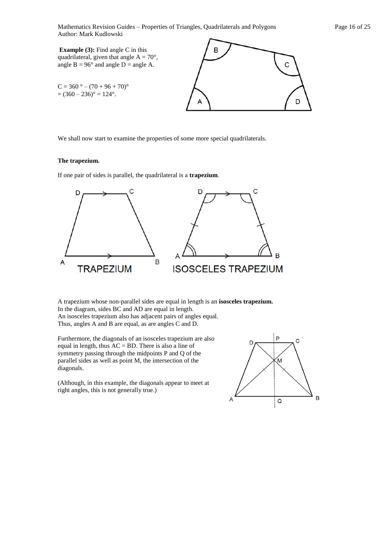Mathematics Revision Guides – Properties of Triangles, Quadrilaterals and Polygons Page 16 of 25 Author: Mark Kudlowski

**Example (3):** Find angle C in this quadrilateral, given that angle  $A = 70^{\circ}$ , angle  $B = 96^\circ$  and angle  $D =$  angle A.

 $C = 360$  ° –  $(70 + 96 + 70)$ °  $= (360 - 236)^{\circ} = 124^{\circ}.$ 



We shall now start to examine the properties of some more special quadrilaterals.

#### **The trapezium.**

If one pair of sides is parallel, the quadrilateral is a **trapezium**.



A trapezium whose non-parallel sides are equal in length is an **isosceles trapezium.**  In the diagram, sides BC and AD are equal in length. An isosceles trapezium also has adjacent pairs of angles equal. Thus, angles A and B are equal, as are angles C and D.

Furthermore, the diagonals of an isosceles trapezium are also equal in length, thus AC = BD. There is also a line of symmetry passing through the midpoints P and Q of the parallel sides as well as point M, the intersection of the diagonals.

(Although, in this example, the diagonals appear to meet at right angles, this is not generally true.)

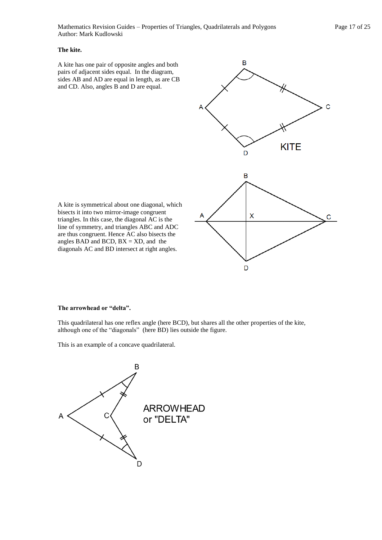#### **The kite.**

A kite has one pair of opposite angles and both pairs of adjacent sides equal. In the diagram, sides AB and AD are equal in length, as are CB and CD. Also, angles B and D are equal.



A kite is symmetrical about one diagonal, which bisects it into two mirror-image congruent triangles. In this case, the diagonal AC is the line of symmetry, and triangles ABC and ADC are thus congruent. Hence AC also bisects the angles BAD and BCD,  $BX = XD$ , and the diagonals AC and BD intersect at right angles.

#### **The arrowhead or "delta".**

This quadrilateral has one reflex angle (here BCD), but shares all the other properties of the kite, although one of the "diagonals" (here BD) lies outside the figure.

This is an example of a concave quadrilateral.

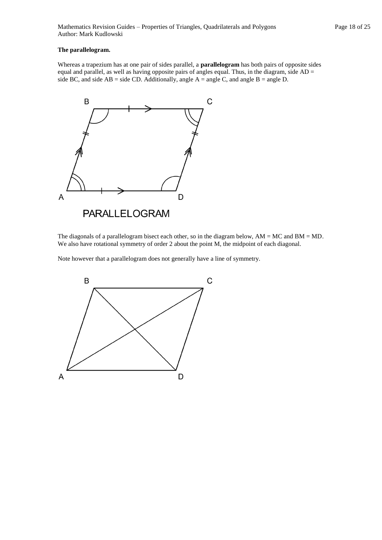#### **The parallelogram.**

Whereas a trapezium has at one pair of sides parallel, a **parallelogram** has both pairs of opposite sides equal and parallel, as well as having opposite pairs of angles equal. Thus, in the diagram, side  $AD =$ side BC, and side  $AB = side CD$ . Additionally, angle  $A = angle C$ , and angle  $B = angle D$ .



The diagonals of a parallelogram bisect each other, so in the diagram below,  $AM = MC$  and  $BM = MD$ . We also have rotational symmetry of order 2 about the point M, the midpoint of each diagonal.

Note however that a parallelogram does not generally have a line of symmetry.

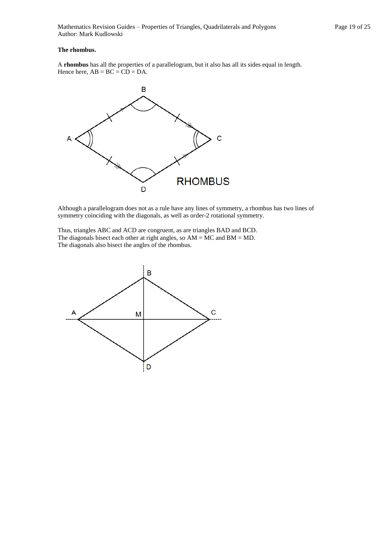#### **The rhombus.**

A **rhombus** has all the properties of a parallelogram, but it also has all its sides equal in length. Hence here,  $AB = BC = CD = DA$ .



Although a parallelogram does not as a rule have any lines of symmetry, a rhombus has two lines of symmetry coinciding with the diagonals, as well as order-2 rotational symmetry.

Thus, triangles ABC and ACD are congruent, as are triangles BAD and BCD. The diagonals bisect each other at right angles, so  $AM = MC$  and  $BM = MD$ . The diagonals also bisect the angles of the rhombus.

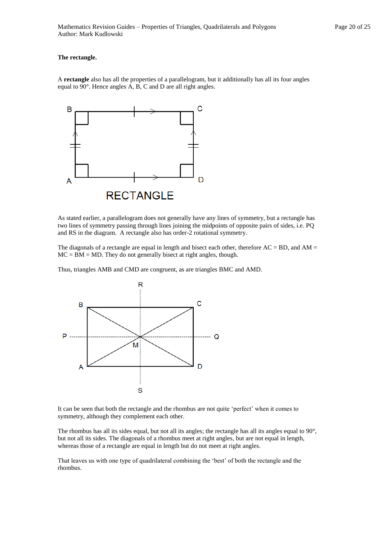#### **The rectangle.**

A **rectangle** also has all the properties of a parallelogram, but it additionally has all its four angles equal to 90°. Hence angles A, B, C and D are all right angles.



As stated earlier, a parallelogram does not generally have any lines of symmetry, but a rectangle has two lines of symmetry passing through lines joining the midpoints of opposite pairs of sides, i.e. PQ and RS in the diagram. A rectangle also has order-2 rotational symmetry.

The diagonals of a rectangle are equal in length and bisect each other, therefore  $AC = BD$ , and  $AM =$  $MC = BM = MD$ . They do not generally bisect at right angles, though.

Thus, triangles AMB and CMD are congruent, as are triangles BMC and AMD.



It can be seen that both the rectangle and the rhombus are not quite 'perfect' when it comes to symmetry, although they complement each other.

The rhombus has all its sides equal, but not all its angles; the rectangle has all its angles equal to 90°, but not all its sides. The diagonals of a rhombus meet at right angles, but are not equal in length, whereas those of a rectangle are equal in length but do not meet at right angles.

That leaves us with one type of quadrilateral combining the 'best' of both the rectangle and the rhombus.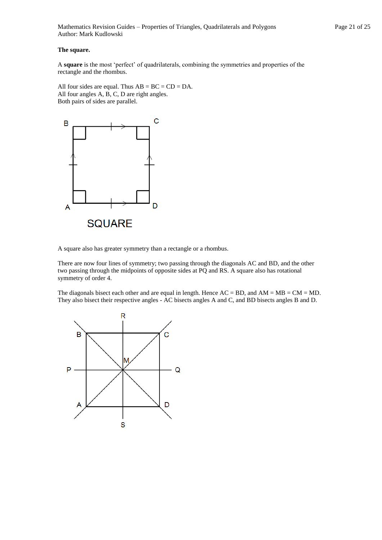Mathematics Revision Guides – Properties of Triangles, Quadrilaterals and Polygons Page 21 of 25 Author: Mark Kudlowski

#### **The square.**

A **square** is the most 'perfect' of quadrilaterals, combining the symmetries and properties of the rectangle and the rhombus.

All four sides are equal. Thus  $AB = BC = CD = DA$ . All four angles A, B, C, D are right angles. Both pairs of sides are parallel.



A square also has greater symmetry than a rectangle or a rhombus.

There are now four lines of symmetry; two passing through the diagonals AC and BD, and the other two passing through the midpoints of opposite sides at PQ and RS. A square also has rotational symmetry of order 4.

The diagonals bisect each other and are equal in length. Hence  $AC = BD$ , and  $AM = MB = CM = MD$ . They also bisect their respective angles - AC bisects angles A and C, and BD bisects angles B and D.

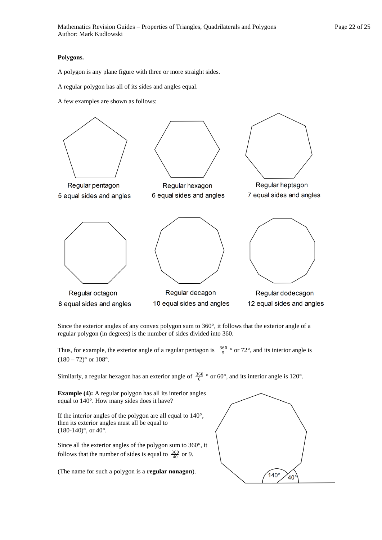#### **Polygons.**

A polygon is any plane figure with three or more straight sides.

A regular polygon has all of its sides and angles equal.

A few examples are shown as follows:



Since the exterior angles of any convex polygon sum to 360°, it follows that the exterior angle of a regular polygon (in degrees) is the number of sides divided into 360.

Thus, for example, the exterior angle of a regular pentagon is  $\frac{360}{5}$  ° or 72°, and its interior angle is  $(180 - 72)$ ° or  $108$ °.

Similarly, a regular hexagon has an exterior angle of  $\frac{360}{6}$  ° or 60°, and its interior angle is 120°.

**Example (4):** A regular polygon has all its interior angles equal to 140°. How many sides does it have?

If the interior angles of the polygon are all equal to 140°, then its exterior angles must all be equal to  $(180-140)$ °, or  $40$ °.

Since all the exterior angles of the polygon sum to 360°, it follows that the number of sides is equal to  $\frac{360}{40}$  or 9.

(The name for such a polygon is a **regular nonagon**).

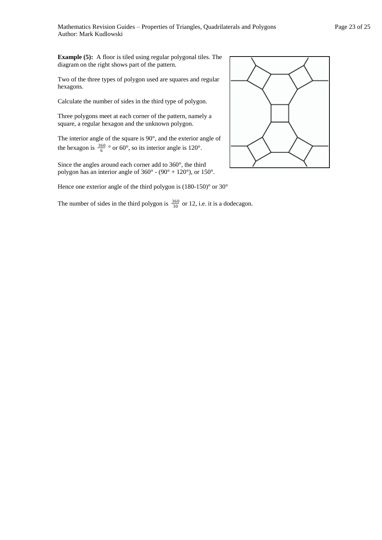**Example (5):** A floor is tiled using regular polygonal tiles. The diagram on the right shows part of the pattern.

Two of the three types of polygon used are squares and regular hexagons.

Calculate the number of sides in the third type of polygon.

Three polygons meet at each corner of the pattern, namely a square, a regular hexagon and the unknown polygon.

The interior angle of the square is 90°, and the exterior angle of the hexagon is  $\frac{360}{6}$  ° or 60°, so its interior angle is 120°.

Since the angles around each corner add to 360°, the third polygon has an interior angle of  $360^{\circ}$  -  $(90^{\circ} + 120^{\circ})$ , or  $150^{\circ}$ .

Hence one exterior angle of the third polygon is (180-150)° or 30°

The number of sides in the third polygon is  $\frac{360}{30}$  or 12, i.e. it is a dodecagon.

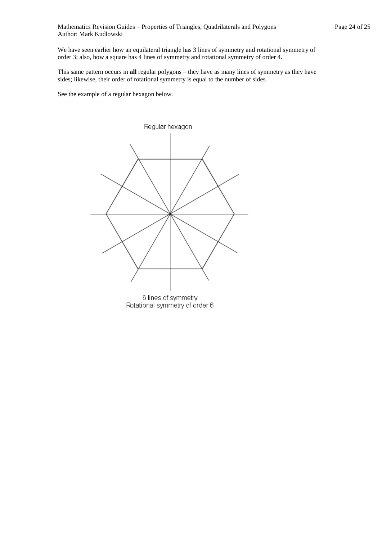We have seen earlier how an equilateral triangle has 3 lines of symmetry and rotational symmetry of order 3; also, how a square has 4 lines of symmetry and rotational symmetry of order 4.

This same pattern occurs in **all** regular polygons – they have as many lines of symmetry as they have sides; likewise, their order of rotational symmetry is equal to the number of sides.

See the example of a regular hexagon below.